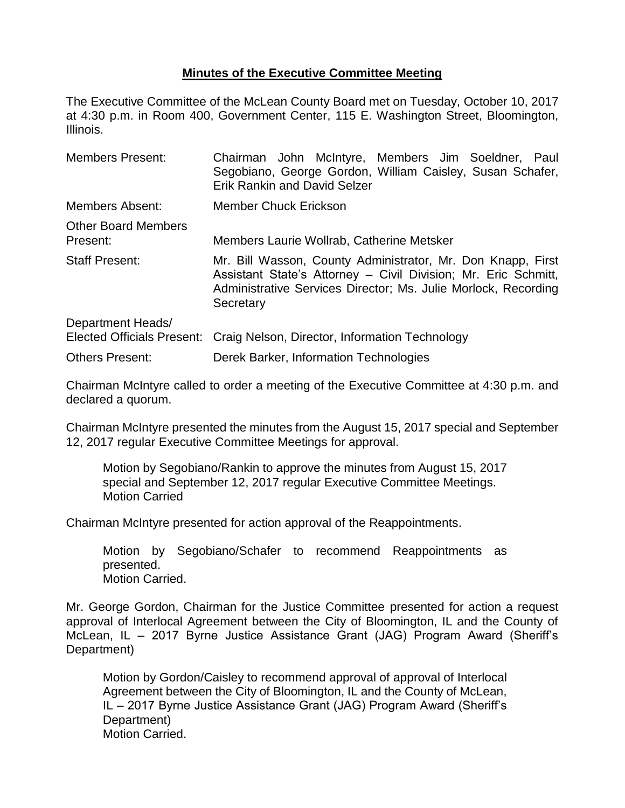## **Minutes of the Executive Committee Meeting**

The Executive Committee of the McLean County Board met on Tuesday, October 10, 2017 at 4:30 p.m. in Room 400, Government Center, 115 E. Washington Street, Bloomington, Illinois.

| <b>Members Present:</b>                                | Chairman John McIntyre, Members Jim Soeldner, Paul<br>Segobiano, George Gordon, William Caisley, Susan Schafer,<br><b>Erik Rankin and David Selzer</b>                                                       |  |  |  |
|--------------------------------------------------------|--------------------------------------------------------------------------------------------------------------------------------------------------------------------------------------------------------------|--|--|--|
| <b>Members Absent:</b>                                 | <b>Member Chuck Erickson</b>                                                                                                                                                                                 |  |  |  |
| <b>Other Board Members</b><br>Present:                 | Members Laurie Wollrab, Catherine Metsker                                                                                                                                                                    |  |  |  |
| <b>Staff Present:</b>                                  | Mr. Bill Wasson, County Administrator, Mr. Don Knapp, First<br>Assistant State's Attorney - Civil Division; Mr. Eric Schmitt,<br>Administrative Services Director; Ms. Julie Morlock, Recording<br>Secretary |  |  |  |
| Department Heads/<br><b>Elected Officials Present:</b> | Craig Nelson, Director, Information Technology                                                                                                                                                               |  |  |  |
| <b>Others Present:</b>                                 | Derek Barker, Information Technologies                                                                                                                                                                       |  |  |  |

Chairman McIntyre called to order a meeting of the Executive Committee at 4:30 p.m. and declared a quorum.

Chairman McIntyre presented the minutes from the August 15, 2017 special and September 12, 2017 regular Executive Committee Meetings for approval.

Motion by Segobiano/Rankin to approve the minutes from August 15, 2017 special and September 12, 2017 regular Executive Committee Meetings. Motion Carried

Chairman McIntyre presented for action approval of the Reappointments.

Motion by Segobiano/Schafer to recommend Reappointments as presented. Motion Carried.

Mr. George Gordon, Chairman for the Justice Committee presented for action a request approval of Interlocal Agreement between the City of Bloomington, IL and the County of McLean, IL – 2017 Byrne Justice Assistance Grant (JAG) Program Award (Sheriff's Department)

Motion by Gordon/Caisley to recommend approval of approval of Interlocal Agreement between the City of Bloomington, IL and the County of McLean, IL – 2017 Byrne Justice Assistance Grant (JAG) Program Award (Sheriff's Department) Motion Carried.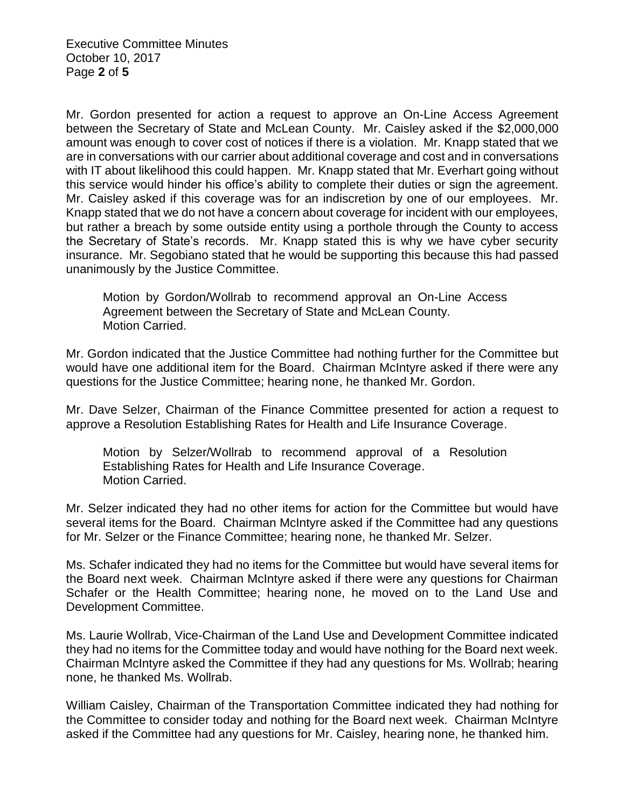Executive Committee Minutes October 10, 2017 Page **2** of **5**

Mr. Gordon presented for action a request to approve an On-Line Access Agreement between the Secretary of State and McLean County. Mr. Caisley asked if the \$2,000,000 amount was enough to cover cost of notices if there is a violation. Mr. Knapp stated that we are in conversations with our carrier about additional coverage and cost and in conversations with IT about likelihood this could happen. Mr. Knapp stated that Mr. Everhart going without this service would hinder his office's ability to complete their duties or sign the agreement. Mr. Caisley asked if this coverage was for an indiscretion by one of our employees. Mr. Knapp stated that we do not have a concern about coverage for incident with our employees, but rather a breach by some outside entity using a porthole through the County to access the Secretary of State's records. Mr. Knapp stated this is why we have cyber security insurance. Mr. Segobiano stated that he would be supporting this because this had passed unanimously by the Justice Committee.

Motion by Gordon/Wollrab to recommend approval an On-Line Access Agreement between the Secretary of State and McLean County. Motion Carried.

Mr. Gordon indicated that the Justice Committee had nothing further for the Committee but would have one additional item for the Board. Chairman McIntyre asked if there were any questions for the Justice Committee; hearing none, he thanked Mr. Gordon.

Mr. Dave Selzer, Chairman of the Finance Committee presented for action a request to approve a Resolution Establishing Rates for Health and Life Insurance Coverage.

Motion by Selzer/Wollrab to recommend approval of a Resolution Establishing Rates for Health and Life Insurance Coverage. Motion Carried.

Mr. Selzer indicated they had no other items for action for the Committee but would have several items for the Board. Chairman McIntyre asked if the Committee had any questions for Mr. Selzer or the Finance Committee; hearing none, he thanked Mr. Selzer.

Ms. Schafer indicated they had no items for the Committee but would have several items for the Board next week. Chairman McIntyre asked if there were any questions for Chairman Schafer or the Health Committee; hearing none, he moved on to the Land Use and Development Committee.

Ms. Laurie Wollrab, Vice-Chairman of the Land Use and Development Committee indicated they had no items for the Committee today and would have nothing for the Board next week. Chairman McIntyre asked the Committee if they had any questions for Ms. Wollrab; hearing none, he thanked Ms. Wollrab.

William Caisley, Chairman of the Transportation Committee indicated they had nothing for the Committee to consider today and nothing for the Board next week. Chairman McIntyre asked if the Committee had any questions for Mr. Caisley, hearing none, he thanked him.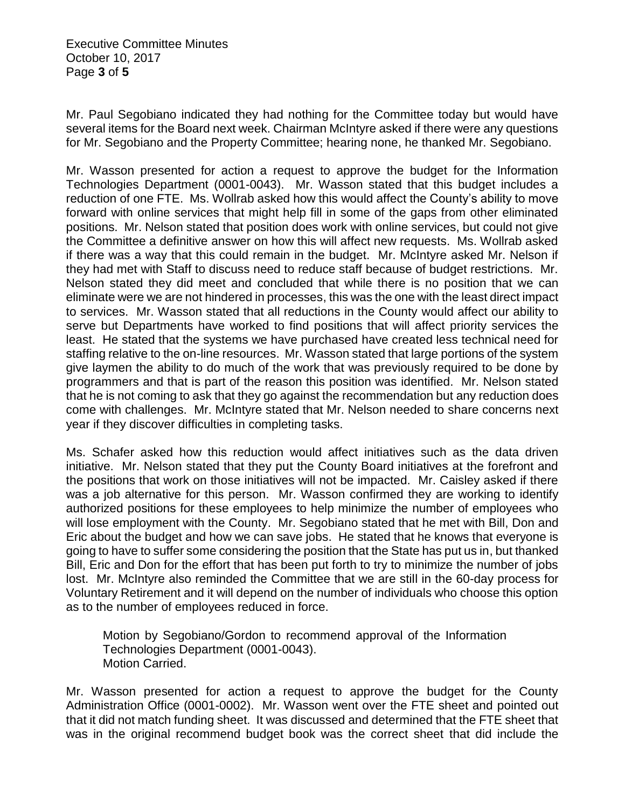Executive Committee Minutes October 10, 2017 Page **3** of **5**

Mr. Paul Segobiano indicated they had nothing for the Committee today but would have several items for the Board next week. Chairman McIntyre asked if there were any questions for Mr. Segobiano and the Property Committee; hearing none, he thanked Mr. Segobiano.

Mr. Wasson presented for action a request to approve the budget for the Information Technologies Department (0001-0043). Mr. Wasson stated that this budget includes a reduction of one FTE. Ms. Wollrab asked how this would affect the County's ability to move forward with online services that might help fill in some of the gaps from other eliminated positions. Mr. Nelson stated that position does work with online services, but could not give the Committee a definitive answer on how this will affect new requests. Ms. Wollrab asked if there was a way that this could remain in the budget. Mr. McIntyre asked Mr. Nelson if they had met with Staff to discuss need to reduce staff because of budget restrictions. Mr. Nelson stated they did meet and concluded that while there is no position that we can eliminate were we are not hindered in processes, this was the one with the least direct impact to services. Mr. Wasson stated that all reductions in the County would affect our ability to serve but Departments have worked to find positions that will affect priority services the least. He stated that the systems we have purchased have created less technical need for staffing relative to the on-line resources. Mr. Wasson stated that large portions of the system give laymen the ability to do much of the work that was previously required to be done by programmers and that is part of the reason this position was identified. Mr. Nelson stated that he is not coming to ask that they go against the recommendation but any reduction does come with challenges. Mr. McIntyre stated that Mr. Nelson needed to share concerns next year if they discover difficulties in completing tasks.

Ms. Schafer asked how this reduction would affect initiatives such as the data driven initiative. Mr. Nelson stated that they put the County Board initiatives at the forefront and the positions that work on those initiatives will not be impacted. Mr. Caisley asked if there was a job alternative for this person. Mr. Wasson confirmed they are working to identify authorized positions for these employees to help minimize the number of employees who will lose employment with the County. Mr. Segobiano stated that he met with Bill, Don and Eric about the budget and how we can save jobs. He stated that he knows that everyone is going to have to suffer some considering the position that the State has put us in, but thanked Bill, Eric and Don for the effort that has been put forth to try to minimize the number of jobs lost. Mr. McIntyre also reminded the Committee that we are still in the 60-day process for Voluntary Retirement and it will depend on the number of individuals who choose this option as to the number of employees reduced in force.

Motion by Segobiano/Gordon to recommend approval of the Information Technologies Department (0001-0043). Motion Carried.

Mr. Wasson presented for action a request to approve the budget for the County Administration Office (0001-0002). Mr. Wasson went over the FTE sheet and pointed out that it did not match funding sheet. It was discussed and determined that the FTE sheet that was in the original recommend budget book was the correct sheet that did include the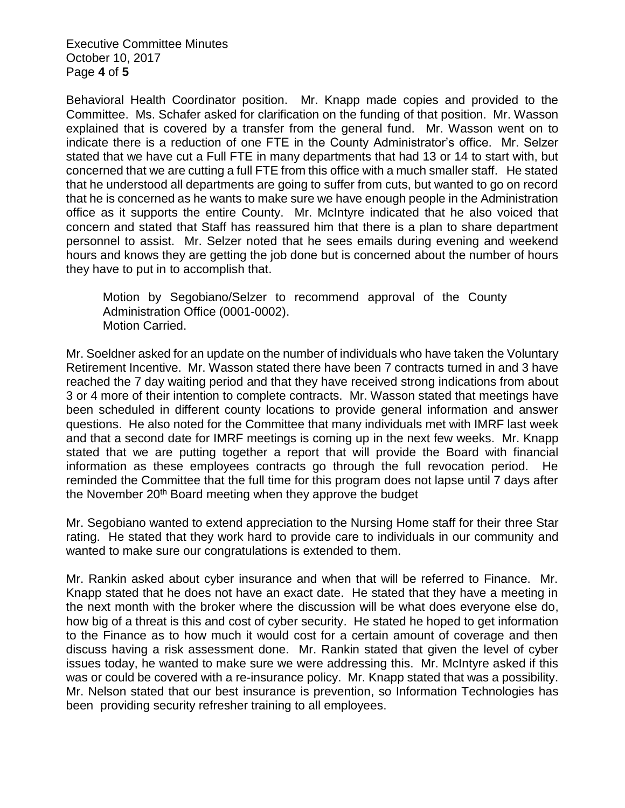Executive Committee Minutes October 10, 2017 Page **4** of **5**

Behavioral Health Coordinator position. Mr. Knapp made copies and provided to the Committee. Ms. Schafer asked for clarification on the funding of that position. Mr. Wasson explained that is covered by a transfer from the general fund. Mr. Wasson went on to indicate there is a reduction of one FTE in the County Administrator's office. Mr. Selzer stated that we have cut a Full FTE in many departments that had 13 or 14 to start with, but concerned that we are cutting a full FTE from this office with a much smaller staff. He stated that he understood all departments are going to suffer from cuts, but wanted to go on record that he is concerned as he wants to make sure we have enough people in the Administration office as it supports the entire County. Mr. McIntyre indicated that he also voiced that concern and stated that Staff has reassured him that there is a plan to share department personnel to assist. Mr. Selzer noted that he sees emails during evening and weekend hours and knows they are getting the job done but is concerned about the number of hours they have to put in to accomplish that.

Motion by Segobiano/Selzer to recommend approval of the County Administration Office (0001-0002). Motion Carried.

Mr. Soeldner asked for an update on the number of individuals who have taken the Voluntary Retirement Incentive. Mr. Wasson stated there have been 7 contracts turned in and 3 have reached the 7 day waiting period and that they have received strong indications from about 3 or 4 more of their intention to complete contracts. Mr. Wasson stated that meetings have been scheduled in different county locations to provide general information and answer questions. He also noted for the Committee that many individuals met with IMRF last week and that a second date for IMRF meetings is coming up in the next few weeks. Mr. Knapp stated that we are putting together a report that will provide the Board with financial information as these employees contracts go through the full revocation period. He reminded the Committee that the full time for this program does not lapse until 7 days after the November 20<sup>th</sup> Board meeting when they approve the budget

Mr. Segobiano wanted to extend appreciation to the Nursing Home staff for their three Star rating. He stated that they work hard to provide care to individuals in our community and wanted to make sure our congratulations is extended to them.

Mr. Rankin asked about cyber insurance and when that will be referred to Finance. Mr. Knapp stated that he does not have an exact date. He stated that they have a meeting in the next month with the broker where the discussion will be what does everyone else do, how big of a threat is this and cost of cyber security. He stated he hoped to get information to the Finance as to how much it would cost for a certain amount of coverage and then discuss having a risk assessment done. Mr. Rankin stated that given the level of cyber issues today, he wanted to make sure we were addressing this. Mr. McIntyre asked if this was or could be covered with a re-insurance policy. Mr. Knapp stated that was a possibility. Mr. Nelson stated that our best insurance is prevention, so Information Technologies has been providing security refresher training to all employees.